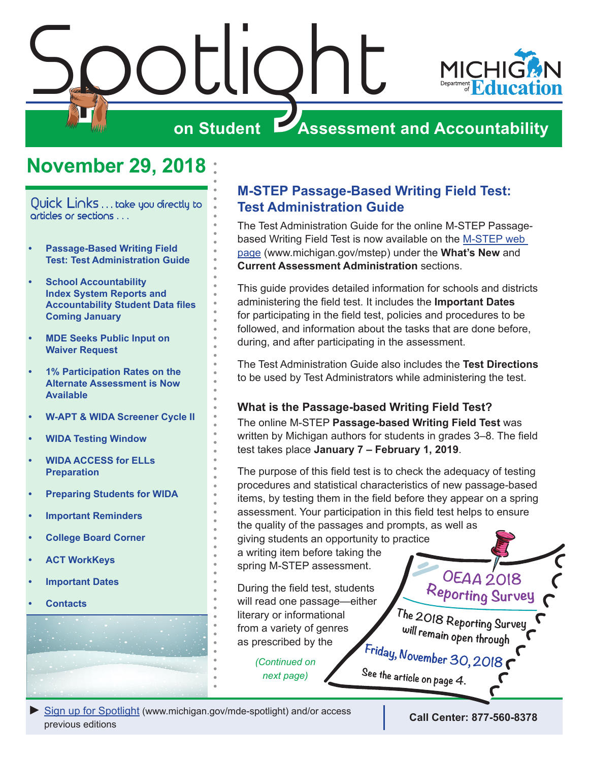<span id="page-0-0"></span>

### **November 29, 2018**

Quick Links . . . take you directly to articles or sections . . .

- **• Passage-Based Writing Field Test: Test Administration Guide**
- **• [School Accountability](#page-1-0)  [Index System Reports and](#page-1-0)  [Accountability Student Data files](#page-1-0)  [Coming January](#page-1-0)**
- **• [MDE Seeks Public Input on](#page-1-0)  [Waiver Request](#page-1-0)**
- **• [1% Participation Rates on the](#page-1-0)  [Alternate Assessment is Now](#page-1-0)  [Available](#page-1-0)**
- **• [W-APT & WIDA Screener Cycle II](#page-2-0)**
- **• [WIDA Testing Window](#page-2-0)**
- **• [WIDA ACCESS for ELLs](#page-2-0)  [Preparation](#page-2-0)**
- **• [Preparing Students for WIDA](#page-3-0)**
- **• [Important Reminders](#page-3-0)**
- **• [College Board Corner](#page-5-0)**
- **• [ACT WorkKeys](#page-7-0)**
- **• [Important Dates](#page-9-0)**
- **• [Contacts](#page-11-0)**

#### **M-STEP Passage-Based Writing Field Test: Test Administration Guide**

The Test Administration Guide for the online M-STEP Passagebased Writing Field Test is now available on the M-STEP web [page](www.michigan.gov/mstep) (www.michigan.gov/mstep) under the **What's New** and **Current Assessment Administration** sections.

This guide provides detailed information for schools and districts administering the field test. It includes the **Important Dates** for participating in the field test, policies and procedures to be followed, and information about the tasks that are done before, during, and after participating in the assessment.

The Test Administration Guide also includes the **Test Directions** to be used by Test Administrators while administering the test.

#### **What is the Passage-based Writing Field Test?**

The online M-STEP **Passage-based Writing Field Test** was written by Michigan authors for students in grades 3–8. The field test takes place **January 7 – February 1, 2019**.

The purpose of this field test is to check the adequacy of testing procedures and statistical characteristics of new passage-based items, by testing them in the field before they appear on a spring assessment. Your participation in this field test helps to ensure the quality of the passages and prompts, as well as giving students an opportunity to practice a writing item before taking the spring M-STEP assessment. **OEAA 2018** 

During the field test, students will read one passage—either literary or informational from a variety of genres as prescribed by the

> *(Continued on next page)*

The 2018 Reporting Survey will remain open through

Reporting Survey

Friday, November 30, 2018 See the article on page 4.

*►* [Sign up for Spotlight](https://public.govdelivery.com/accounts/MIMDE/subscriber/new) [\(www.michigan.gov/mde](www.michigan.gov/mde-spotlight)-spotlight) and/or access previous editions **Call Center: 877-560-8378**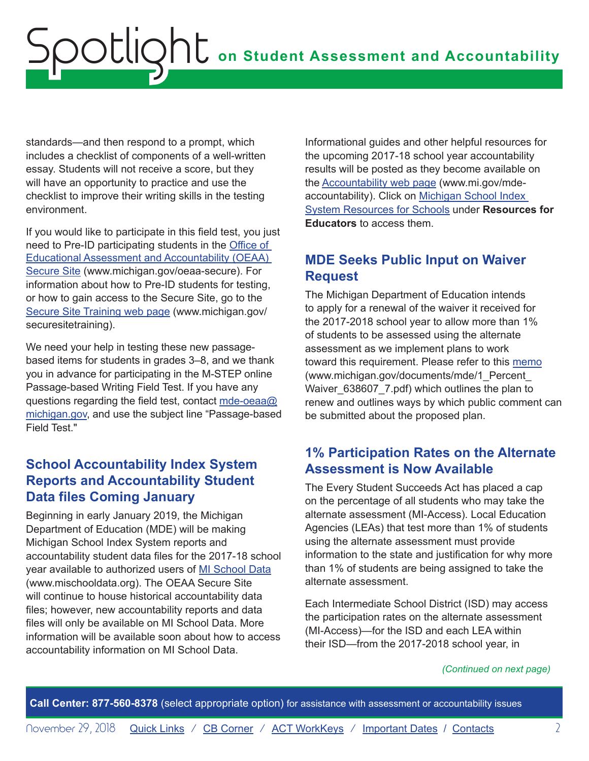<span id="page-1-0"></span>standards—and then respond to a prompt, which includes a checklist of components of a well-written essay. Students will not receive a score, but they will have an opportunity to practice and use the checklist to improve their writing skills in the testing environment.

If you would like to participate in this field test, you just need to Pre-ID participating students in the [Office of](http://www.michigan.gov/oeaa-secure)  [Educational Assessment and Accountability \(OEAA\)](http://www.michigan.gov/oeaa-secure)  [Secure Site](http://www.michigan.gov/oeaa-secure) (www.michigan.gov/oeaa-secure). For information about how to Pre-ID students for testing, or how to gain access to the Secure Site, go to the [Secure Site Training web page](http://www.michigan.gov/securesitetraining) (www.michigan.gov/ securesitetraining).

We need your help in testing these new passagebased items for students in grades 3–8, and we thank you in advance for participating in the M-STEP online Passage-based Writing Field Test. If you have any questions regarding the field test, contact [mde-oeaa@](mailto:mde-oeaa%40michigan.gov?subject=Passage-based%20Field%20Test) [michigan.gov](mailto:mde-oeaa%40michigan.gov?subject=Passage-based%20Field%20Test), and use the subject line "Passage-based Field Test."

#### **School Accountability Index System Reports and Accountability Student Data files Coming January**

Beginning in early January 2019, the Michigan Department of Education (MDE) will be making Michigan School Index System reports and accountability student data files for the 2017-18 school year available to authorized users of [MI School Data](http://www.mischooldata.org) (www.mischooldata.org). The OEAA Secure Site will continue to house historical accountability data files; however, new accountability reports and data files will only be available on MI School Data. More information will be available soon about how to access accountability information on MI School Data.

Informational guides and other helpful resources for the upcoming 2017-18 school year accountability results will be posted as they become available on the [Accountability web page](http://www.mi.gov/mde-accountability) (www.mi.gov/mdeaccountability). Click on [Michigan School Index](https://www.michigan.gov/mde/0,4615,7-140-81376_59490-251853--,00.html)  [System Resources for Schools](https://www.michigan.gov/mde/0,4615,7-140-81376_59490-251853--,00.html) under **Resources for Educators** to access them.

#### **MDE Seeks Public Input on Waiver Request**

The Michigan Department of Education intends to apply for a renewal of the waiver it received for the 2017-2018 school year to allow more than 1% of students to be assessed using the alternate assessment as we implement plans to work toward this requirement. Please refer to this [memo](https://www.michigan.gov/documents/mde/1_Percent_Waiver_638607_7.pdf) (www.michigan.gov/documents/mde/1\_Percent\_ Waiver\_638607\_7.pdf) which outlines the plan to renew and outlines ways by which public comment can be submitted about the proposed plan.

#### **1% Participation Rates on the Alternate Assessment is Now Available**

The Every Student Succeeds Act has placed a cap on the percentage of all students who may take the alternate assessment (MI-Access). Local Education Agencies (LEAs) that test more than 1% of students using the alternate assessment must provide information to the state and justification for why more than 1% of students are being assigned to take the alternate assessment.

Each Intermediate School District (ISD) may access the participation rates on the alternate assessment (MI-Access)—for the ISD and each LEA within their ISD—from the 2017-2018 school year, in

#### *(Continued on next page)*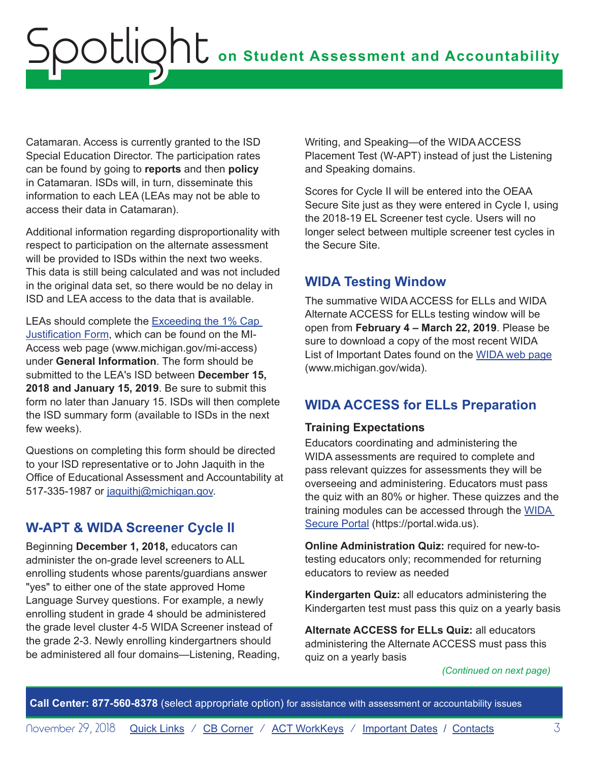<span id="page-2-0"></span>Catamaran. Access is currently granted to the ISD Special Education Director. The participation rates can be found by going to **reports** and then **policy**  in Catamaran. ISDs will, in turn, disseminate this information to each LEA (LEAs may not be able to access their data in Catamaran).

Additional information regarding disproportionality with respect to participation on the alternate assessment will be provided to ISDs within the next two weeks. This data is still being calculated and was not included in the original data set, so there would be no delay in ISD and LEA access to the data that is available.

LEAs should complete the [Exceeding the 1% Cap](https://www.michigan.gov/documents/mde/1PercentCapForm_final_638529_7.pdf)  [Justification Form](https://www.michigan.gov/documents/mde/1PercentCapForm_final_638529_7.pdf), which can be found on the MI-Access web page (www.michigan.gov/mi-access) under **General Information**. The form should be submitted to the LEA's ISD between **December 15, 2018 and January 15, 2019**. Be sure to submit this form no later than January 15. ISDs will then complete the ISD summary form (available to ISDs in the next few weeks).

Questions on completing this form should be directed to your ISD representative or to John Jaquith in the Office of Educational Assessment and Accountability at 517-335-1987 or [jaquithj@michigan.gov](mailto:jaquithj%40michigan.gov?subject=).

#### **W-APT & WIDA Screener Cycle II**

Beginning **December 1, 2018,** educators can administer the on-grade level screeners to ALL enrolling students whose parents/guardians answer "yes" to either one of the state approved Home Language Survey questions. For example, a newly enrolling student in grade 4 should be administered the grade level cluster 4-5 WIDA Screener instead of the grade 2-3. Newly enrolling kindergartners should be administered all four domains—Listening, Reading, Writing, and Speaking—of the WIDA ACCESS Placement Test (W-APT) instead of just the Listening and Speaking domains.

Scores for Cycle II will be entered into the OEAA Secure Site just as they were entered in Cycle I, using the 2018-19 EL Screener test cycle. Users will no longer select between multiple screener test cycles in the Secure Site.

#### **WIDA Testing Window**

The summative WIDA ACCESS for ELLs and WIDA Alternate ACCESS for ELLs testing window will be open from **February 4 – March 22, 2019**. Please be sure to download a copy of the most recent WIDA List of Important Dates found on the [WIDA web page](www.michigan.gov/wida) (www.michigan.gov/wida).

#### **WIDA ACCESS for ELLs Preparation**

#### **Training Expectations**

Educators coordinating and administering the WIDA assessments are required to complete and pass relevant quizzes for assessments they will be overseeing and administering. Educators must pass the quiz with an 80% or higher. These quizzes and the training modules can be accessed through the [WIDA](https://portal.wida.us)  [Secure Portal](https://portal.wida.us) (https://portal.wida.us).

**Online Administration Quiz:** required for new-totesting educators only; recommended for returning educators to review as needed

**Kindergarten Quiz:** all educators administering the Kindergarten test must pass this quiz on a yearly basis

**Alternate ACCESS for ELLs Quiz:** all educators administering the Alternate ACCESS must pass this quiz on a yearly basis

#### *(Continued on next page)*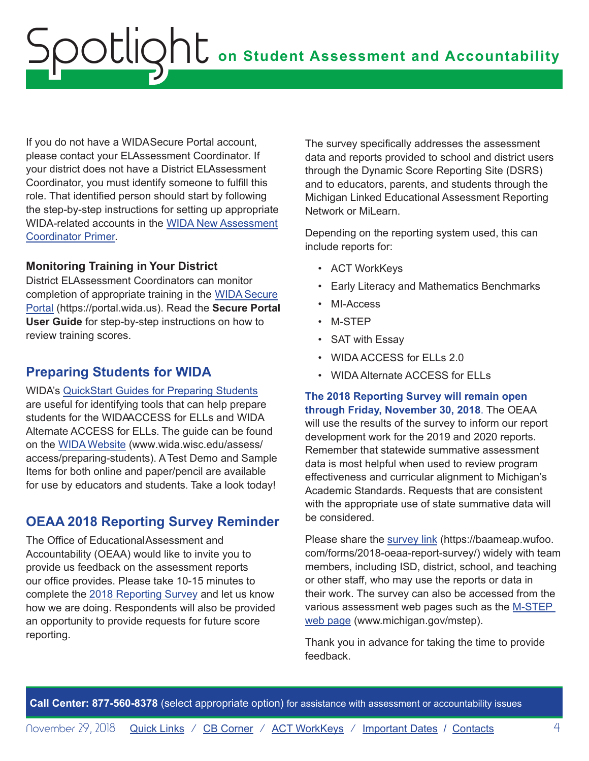<span id="page-3-0"></span>If you do not have a WIDA Secure Portal account, please contact your ELAssessment Coordinator. If your district does not have a District ELAssessment Coordinator, you must identify someone to fulfill this role. That identified person should start by following the step-by-step instructions for setting up appropriate WIDA-related accounts in the [WIDA New Assessment](https://www.michigan.gov/documents/mde/WIDA_New_Assessment_Coordinator_Primer_634994_7.pdf)  [Coordinator Primer.](https://www.michigan.gov/documents/mde/WIDA_New_Assessment_Coordinator_Primer_634994_7.pdf)

#### **Monitoring Training in Your District**

District ELAssessment Coordinators can monitor completion of appropriate training in the [WIDA Secure](https://portal.wida.us)  [Portal](https://portal.wida.us) (https://portal.wida.us). Read the **Secure Portal User Guide** for step-by-step instructions on how to review training scores.

#### **Preparing Students for WIDA**

WIDA's [QuickStart Guides for Preparing Students](https://wida.wisc.edu/assess/access/preparing-students?utm_source=Client%20Relations-WIDA%20Wednesday%20111418&utm_medium=Direct%20email&utm_campaign=WIDA%20Wednesday&utm_content=Linked%20text) are useful for identifying tools that can help prepare students for the WIDAACCESS for ELLs and WIDA Alternate ACCESS for ELLs. The guide can be found on the [WIDA Website](https://wida.wisc.edu/assess/access/preparing-students?utm_source=Client%20Relations-WIDA%20Wednesday%20111418&utm_medium=Direct%20email&utm_campaign=WIDA%20Wednesday&utm_content=Linked%20text) (www.wida.wisc.edu/assess/ access/preparing-students). A Test Demo and Sample Items for both online and paper/pencil are available for use by educators and students. Take a look today!

#### **OEAA 2018 Reporting Survey Reminder**

The Office of Educational Assessment and Accountability (OEAA) would like to invite you to provide us feedback on the assessment reports our office provides. Please take 10-15 minutes to complete the [2018 Reporting Survey](https://baameap.wufoo.com/forms/2018-oeaa-report-survey/) and let us know how we are doing. Respondents will also be provided an opportunity to provide requests for future score reporting.

The survey specifically addresses the assessment data and reports provided to school and district users through the Dynamic Score Reporting Site (DSRS) and to educators, parents, and students through the Michigan Linked Educational Assessment Reporting Network or MiLearn.

Depending on the reporting system used, this can include reports for:

- ACT WorkKeys
- Early Literacy and Mathematics Benchmarks
- MI-Access
- M-STEP
- SAT with Essay
- WIDA ACCESS for ELLs 2.0
- WIDA Alternate ACCESS for ELLs

**The 2018 Reporting Survey will remain open through Friday, November 30, 2018**. The OEAA will use the results of the survey to inform our report development work for the 2019 and 2020 reports. Remember that statewide summative assessment data is most helpful when used to review program effectiveness and curricular alignment to Michigan's Academic Standards. Requests that are consistent with the appropriate use of state summative data will be considered.

Please share the [survey link](https://baameap.wufoo.com/forms/2018-oeaa-report-survey/) (https://baameap.wufoo. com/forms/2018-oeaa-report-survey/) widely with team members, including ISD, district, school, and teaching or other staff, who may use the reports or data in their work. The survey can also be accessed from the various assessment web pages such as the [M-STEP](www.michigan.gov/mstep)  [web page](www.michigan.gov/mstep) (www.michigan.gov/mstep).

Thank you in advance for taking the time to provide feedback.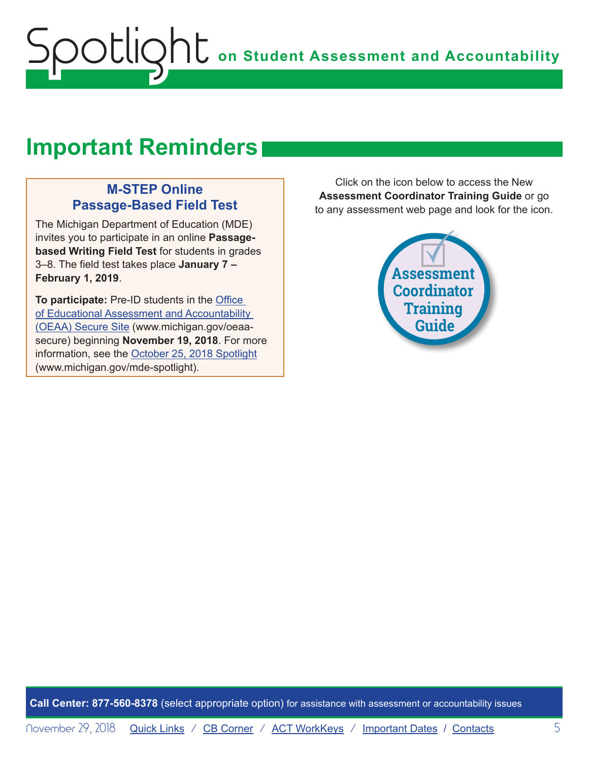### **Important Reminders**

#### **M-STEP Online Passage-Based Field Test**

The Michigan Department of Education (MDE) invites you to participate in an online **Passagebased Writing Field Test** for students in grades 3–8. The field test takes place **January 7 – February 1, 2019**.

**To participate:** Pre-ID students in the [Office](http://www.michigan.gov/oeaa-secure)  [of Educational Assessment and Accountability](http://www.michigan.gov/oeaa-secure)  [\(OEAA\) Secure Site](http://www.michigan.gov/oeaa-secure) (www.michigan.gov/oeaasecure) beginning **November 19, 2018**. For more information, see the [October 25, 2018 Spotlight](https://www.michigan.gov/documents/mde/10.25.2018_Spotlight_636974_7.pdf) (www.michigan.gov/mde-spotlight).

Click on the icon below to access the New **Assessment Coordinator Training Guide** or go to any assessment web page and look for the icon.

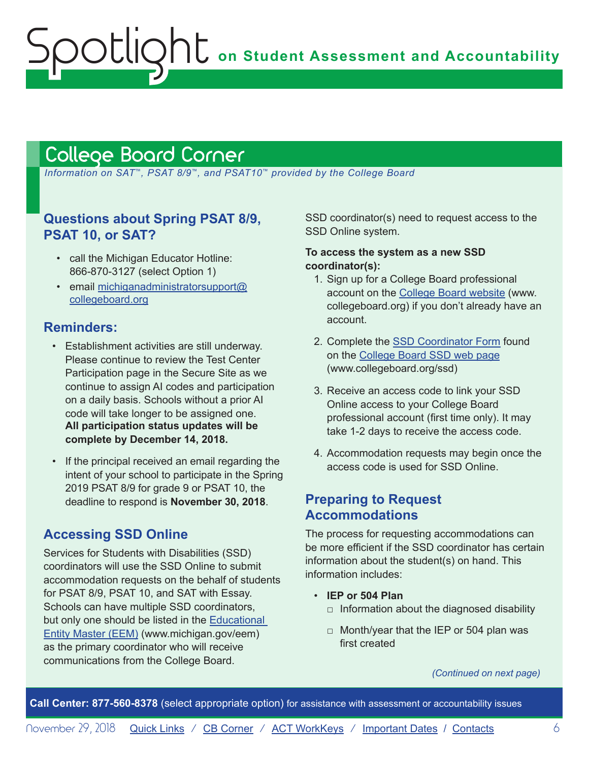### <span id="page-5-1"></span>College Board Corner

<span id="page-5-0"></span>Spotlight

 *Information on SAT*™*, PSAT 8/9*™*, and PSAT10*™ *provided by the College Board*

#### **Questions about Spring PSAT 8/9, PSAT 10, or SAT?**

- call the Michigan Educator Hotline: 866-870-3127 (select Option 1)
- email [michiganadministratorsupport@](mailto:michiganadministratorsupport%40collegeboard.org?subject=) [collegeboard.org](mailto:michiganadministratorsupport%40collegeboard.org?subject=)

#### **Reminders:**

- Establishment activities are still underway. Please continue to review the Test Center Participation page in the Secure Site as we continue to assign AI codes and participation on a daily basis. Schools without a prior AI code will take longer to be assigned one. **All participation status updates will be complete by December 14, 2018.**
- If the principal received an email regarding the intent of your school to participate in the Spring 2019 PSAT 8/9 for grade 9 or PSAT 10, the deadline to respond is **November 30, 2018**.

#### **Accessing SSD Online**

Services for Students with Disabilities (SSD) coordinators will use the SSD Online to submit accommodation requests on the behalf of students for PSAT 8/9, PSAT 10, and SAT with Essay. Schools can have multiple SSD coordinators, but only one should be listed in the [Educational](www.michigan.gov/EEM)  [Entity Master \(EEM\)](www.michigan.gov/EEM) (www.michigan.gov/eem) as the primary coordinator who will receive communications from the College Board.

SSD coordinator(s) need to request access to the SSD Online system.

#### **To access the system as a new SSD coordinator(s):**

- 1. Sign up for a College Board professional account on the [College Board website](https://www.collegeboard.org/pdf/ssd/ssd-coordinator.pdf) (www. collegeboard.org) if you don't already have an account.
- 2. Complete the [SSD Coordinator Form](https://www.collegeboard.org/pdf/ssd/ssd-coordinator.pdf) found on the [College Board SSD web page](http://www.collegeboard.org/ssd) (www.collegeboard.org/ssd)
- 3. Receive an access code to link your SSD Online access to your College Board professional account (first time only). It may take 1-2 days to receive the access code.
- 4. Accommodation requests may begin once the access code is used for SSD Online.

#### **Preparing to Request Accommodations**

The process for requesting accommodations can be more efficient if the SSD coordinator has certain information about the student(s) on hand. This information includes:

- **IEP or 504 Plan**
	- $\Box$  Information about the diagnosed disability
	- $\Box$  Month/year that the IEP or 504 plan was first created

*(Continued on next page)*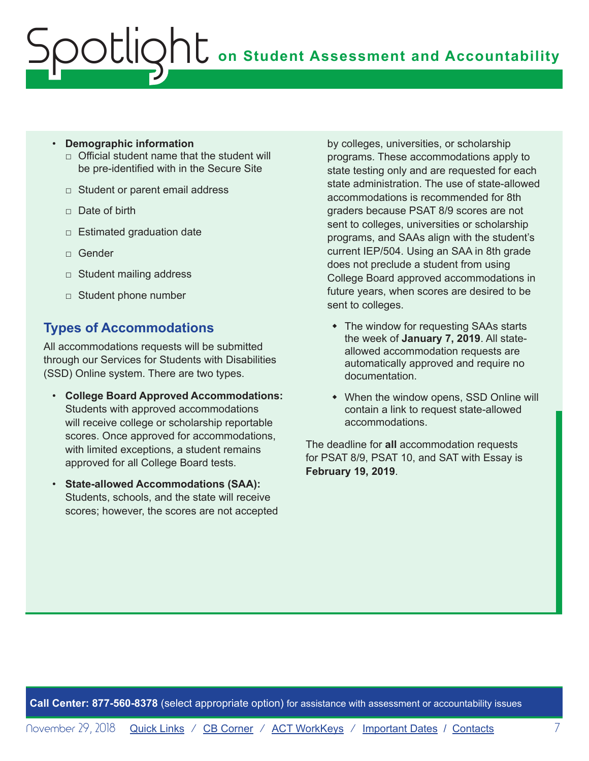#### • **Demographic information**

- $\Box$  Official student name that the student will be pre-identified with in the Secure Site
- □ Student or parent email address
- □ Date of birth
- $\Box$  Estimated graduation date
- □ Gender
- □ Student mailing address
- □ Student phone number

#### **Types of Accommodations**

All accommodations requests will be submitted through our Services for Students with Disabilities (SSD) Online system. There are two types.

- **College Board Approved Accommodations:** Students with approved accommodations will receive college or scholarship reportable scores. Once approved for accommodations, with limited exceptions, a student remains approved for all College Board tests.
- **State-allowed Accommodations (SAA):**  Students, schools, and the state will receive scores; however, the scores are not accepted

by colleges, universities, or scholarship programs. These accommodations apply to state testing only and are requested for each state administration. The use of state-allowed accommodations is recommended for 8th graders because PSAT 8/9 scores are not sent to colleges, universities or scholarship programs, and SAAs align with the student's current IEP/504. Using an SAA in 8th grade does not preclude a student from using College Board approved accommodations in future years, when scores are desired to be sent to colleges.

- The window for requesting SAAs starts the week of **January 7, 2019**. All stateallowed accommodation requests are automatically approved and require no documentation.
- When the window opens, SSD Online will contain a link to request state-allowed accommodations.

The deadline for **all** accommodation requests for PSAT 8/9, PSAT 10, and SAT with Essay is **February 19, 2019**.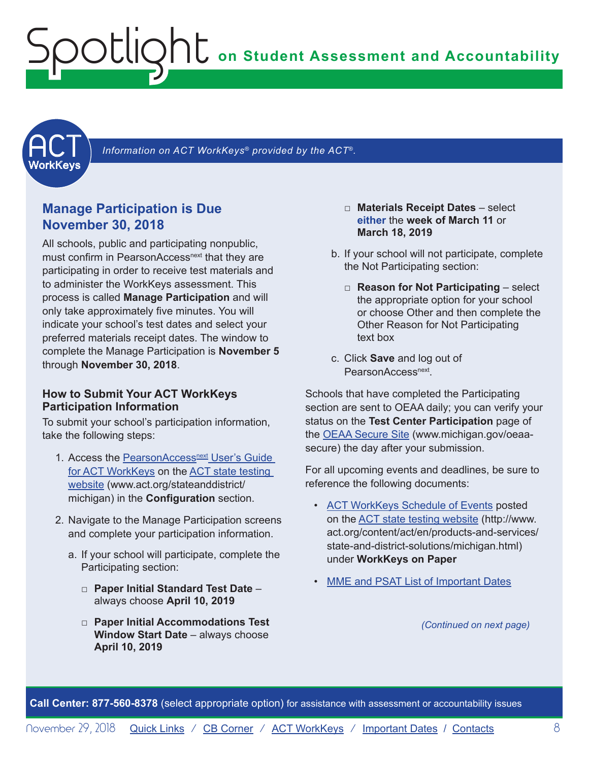<span id="page-7-0"></span>**on Student Assessment and Accountability** Spotlight

<span id="page-7-1"></span>

Information on ACT WorkKeys<sup>®</sup> provided by the ACT<sup>®</sup>.

#### **Manage Participation is Due November 30, 2018**

All schools, public and participating nonpublic, must confirm in PearsonAccess<sup>next</sup> that they are participating in order to receive test materials and to administer the WorkKeys assessment. This process is called **Manage Participation** and will only take approximately five minutes. You will indicate your school's test dates and select your preferred materials receipt dates. The window to complete the Manage Participation is **November 5** through **November 30, 2018**.

#### **How to Submit Your ACT WorkKeys Participation Information**

To submit your school's participation information, take the following steps:

- 1. Access the PearsonAccessnext User's Guide [for ACT WorkKeys](http://www.act.org/content/dam/act/unsecured/documents/PANUserGuide-ACTWorkKeys.pdf) on the [ACT state testing](http://www.act.org/stateanddistrict/michigan)  [website](http://www.act.org/stateanddistrict/michigan) (www.act.org/stateanddistrict/ michigan) in the **Configuration** section.
- 2. Navigate to the Manage Participation screens and complete your participation information.
	- a. If your school will participate, complete the Participating section:
		- □ **Paper Initial Standard Test Date** always choose **April 10, 2019**
		- □ **Paper Initial Accommodations Test Window Start Date** – always choose **April 10, 2019**
- □ **Materials Receipt Dates** select **either** the **week of March 11** or **March 18, 2019**
- b. If your school will not participate, complete the Not Participating section:
	- □ **Reason for Not Participating** select the appropriate option for your school or choose Other and then complete the Other Reason for Not Participating text box
- c. Click **Save** and log out of PearsonAccess<sup>next</sup>

Schools that have completed the Participating section are sent to OEAA daily; you can verify your status on the **Test Center Participation** page of the [OEAA Secure Site](http://www.michigan.gov/oeaa-secure) (www.michigan.gov/oeaasecure) the day after your submission.

For all upcoming events and deadlines, be sure to reference the following documents:

- [ACT WorkKeys Schedule of Events](http://www.act.org/content/dam/act/unsecured/documents/ScheduleofEventsWorkKeys-MI.pdf) posted on the [ACT state testing website](http://www.act.org/content/act/en/products-and-services/state-and-district-solutions/michigan.html) (http://www. act.org/content/act/en/products-and-services/ state-and-district-solutions/michigan.html) under **WorkKeys on Paper**
- [MME and PSAT List of Important Dates](https://www.michigan.gov/documents/mde/MME_List_of_Important_Dates_634790_7.pdf)

*(Continued on next page)*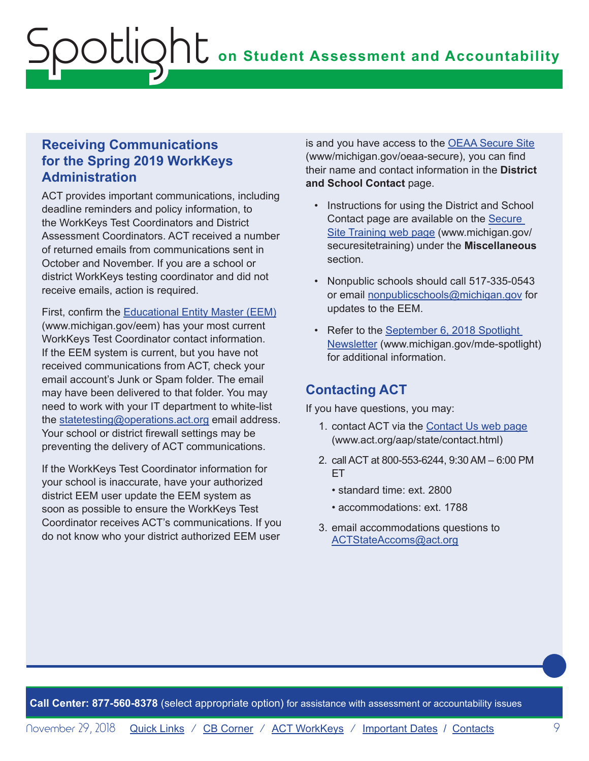#### **Receiving Communications for the Spring 2019 WorkKeys Administration**

ACT provides important communications, including deadline reminders and policy information, to the WorkKeys Test Coordinators and District Assessment Coordinators. ACT received a number of returned emails from communications sent in October and November. If you are a school or district WorkKeys testing coordinator and did not receive emails, action is required.

First, confirm the [Educational Entity Master \(EEM\)](https://cepi.state.mi.us/eem) (www.michigan.gov/eem) has your most current WorkKeys Test Coordinator contact information. If the EEM system is current, but you have not received communications from ACT, check your email account's Junk or Spam folder. The email may have been delivered to that folder. You may need to work with your IT department to white-list the [statetesting@operations.act.org](mailto:statetesting%40operations.act.org?subject=) email address. Your school or district firewall settings may be preventing the delivery of ACT communications.

If the WorkKeys Test Coordinator information for your school is inaccurate, have your authorized district EEM user update the EEM system as soon as possible to ensure the WorkKeys Test Coordinator receives ACT's communications. If you do not know who your district authorized EEM user

is and you have access to the [OEAA Secure Site](http://www.michigan.gov/oeaa-secure) (www/michigan.gov/oeaa-secure), you can find their name and contact information in the **District and School Contact** page.

- Instructions for using the District and School Contact page are available on the [Secure](http://www.michigan.gov/securesitetraining)  [Site Training web page](http://www.michigan.gov/securesitetraining) (www.michigan.gov/ securesitetraining) under the **Miscellaneous** section.
- Nonpublic schools should call 517-335-0543 or email [nonpublicschools@michigan.gov](mailto:nonpublicschools%40michigan.gov?subject=) for updates to the EEM.
- Refer to the September 6, 2018 Spotlight [Newsletter](https://www.michigan.gov/documents/mde/Spotlight_9-6-18_631964_7.pdf) (www.michigan.gov/mde-spotlight) for additional information.

#### **Contacting ACT**

If you have questions, you may:

- 1. contact ACT via the [Contact Us web page](http://www.act.org/aap/state/contact.html) (<www.act.org/aap/state/contact.html>)
- 2. call ACT at 800-553-6244, 9:30 AM 6:00 PM ET
	- standard time: ext. 2800
	- accommodations: ext. 1788
- 3. email accommodations questions to [ACTStateAccoms@act.org](mailto:ACTStateAccoms%40act.org?subject=)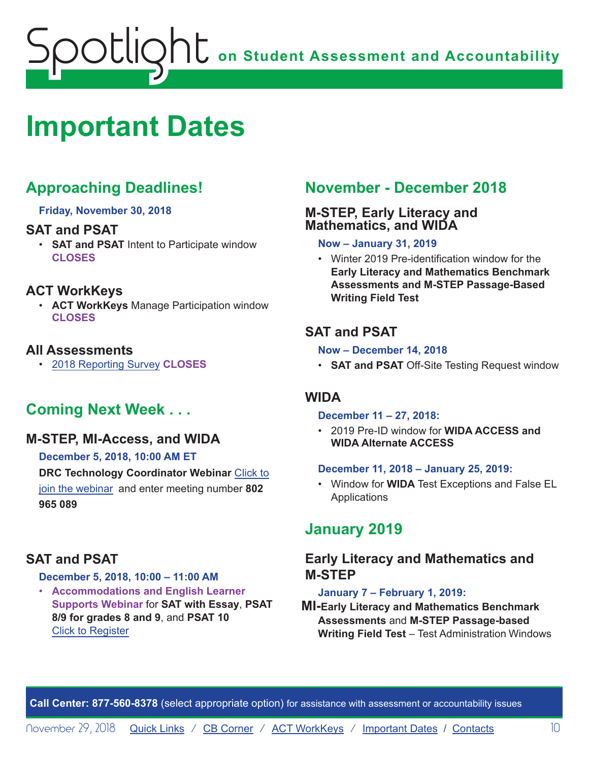## <span id="page-9-0"></span>**on Student Assessment and Accountability** potlic

## <span id="page-9-1"></span>**Important Dates**

### **Approaching Deadlines!**

**Friday, November 30, 2018**

#### **SAT and PSAT**

• **SAT and PSAT** Intent to Participate window **CLOSES**

#### **ACT WorkKeys**

• **ACT WorkKeys** Manage Participation window **CLOSES**

#### **All Assessments**

• 2018 Reporting Survey **CLOSES**

#### **Coming Next Week . . .**

#### **M-STEP, MI-Access, and WIDA**

**December 5, 2018, 10:00 AM ET DRC Technology Coordinator Webinar** Click to join the webinar and enter meeting number **802 965 089**

#### **SAT and PSAT**

#### **December 5, 2018, 10:00 – 11:00 AM**

• **Accommodations and English Learner Supports Webinar** for **SAT with Essay**, **PSAT 8/9 for grades 8 and 9**, and **PSAT 10** Click to Register

#### **November - December 2018**

#### **M-STEP, Early Literacy and Mathematics, and WIDA**

#### **Now – January 31, 2019**

• Winter 2019 Pre-identification window for the **Early Literacy and Mathematics Benchmark Assessments and M-STEP Passage-Based Writing Field Test**

#### **SAT and PSAT**

#### **Now – December 14, 2018**

• **SAT and PSAT** Off-Site Testing Request window

#### **WIDA**

#### **December 11 – 27, 2018:**

• 2019 Pre-ID window for **WIDA ACCESS and WIDA Alternate ACCESS**

#### **December 11, 2018 – January 25, 2019:**

• Window for **WIDA** Test Exceptions and False EL Applications

#### **January 2019**

#### **Early Literacy and Mathematics and M-STEP**

#### **January 7 – February 1, 2019:**

**MI-Early Literacy and Mathematics Benchmark Assessments** and **M-STEP Passage-based Writing Field Test** – Test Administration Windows

**Call Center: 877-560-8378** (select appropriate option) for assistance with assessment or accountability issues

November 29, 2018 [Quick Links](#page-0-0) / [CB Corner](#page-5-1) / [ACT WorkKeys](#page-7-1) / [Important Dates](#page-9-1) / [Contacts](#page-11-1) 10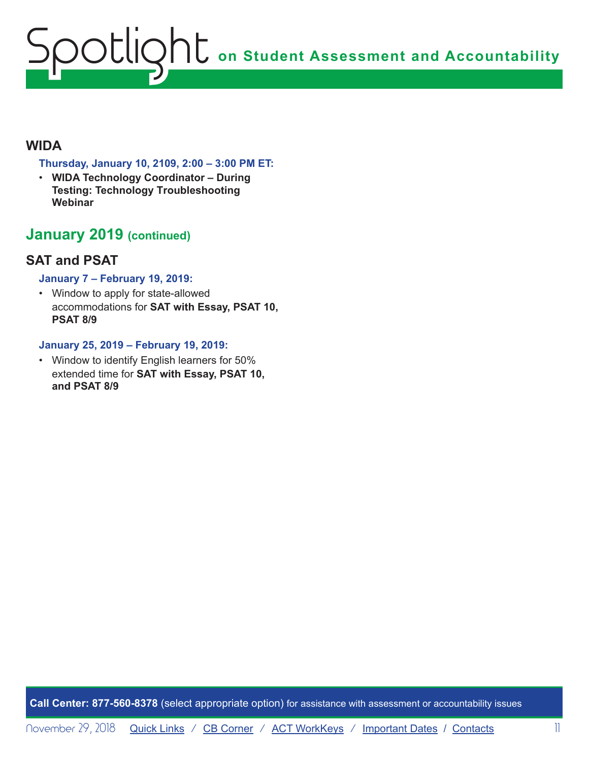# **on Student Assessment and Accountability** Spotlight

#### **WIDA**

#### **Thursday, January 10, 2109, 2:00 – 3:00 PM ET:**

• **WIDA Technology Coordinator – During Testing: Technology Troubleshooting Webinar**

#### **January 2019 (continued)**

#### **SAT and PSAT**

#### **January 7 – February 19, 2019:**

• Window to apply for state-allowed accommodations for **SAT with Essay, PSAT 10, PSAT 8/9**

#### **January 25, 2019 – February 19, 2019:**

• Window to identify English learners for 50% extended time for **SAT with Essay, PSAT 10, and PSAT 8/9**